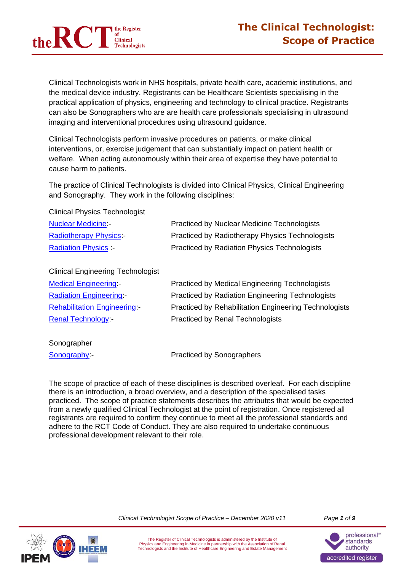

Clinical Technologists work in NHS hospitals, private health care, academic institutions, and the medical device industry. Registrants can be Healthcare Scientists specialising in the practical application of physics, engineering and technology to clinical practice. Registrants can also be Sonographers who are are health care professionals specialising in ultrasound imaging and interventional procedures using ultrasound guidance.

Clinical Technologists perform invasive procedures on patients, or make clinical interventions, or, exercise judgement that can substantially impact on patient health or welfare. When acting autonomously within their area of expertise they have potential to cause harm to patients.

The practice of Clinical Technologists is divided into Clinical Physics, Clinical Engineering and Sonography. They work in the following disciplines:

Clinical Physics Technologist

| <b>Nuclear Medicine -</b>     | <b>Practiced by Nuclear Medicine Technologists</b>  |
|-------------------------------|-----------------------------------------------------|
| <b>Radiotherapy Physics -</b> | Practiced by Radiotherapy Physics Technologists     |
| <b>Radiation Physics</b>      | <b>Practiced by Radiation Physics Technologists</b> |

Clinical Engineering Technologist

| <b>Medical Engineering -</b>      | <b>Practiced by Medical Engineering Technologists</b>        |
|-----------------------------------|--------------------------------------------------------------|
| <b>Radiation Engineering -</b>    | <b>Practiced by Radiation Engineering Technologists</b>      |
| <b>Rehabilitation Engineering</b> | <b>Practiced by Rehabilitation Engineering Technologists</b> |
| <b>Renal Technology</b>           | <b>Practiced by Renal Technologists</b>                      |

Sonographer

[Sonography:](#page-7-0)-<br>
Practiced by Sonographers

The scope of practice of each of these disciplines is described overleaf. For each discipline there is an introduction, a broad overview, and a description of the specialised tasks practiced. The scope of practice statements describes the attributes that would be expected from a newly qualified Clinical Technologist at the point of registration. Once registered all registrants are required to confirm they continue to meet all the professional standards and adhere to the RCT Code of Conduct. They are also required to undertake continuous professional development relevant to their role.

*Clinical Technologist Scope of Practice – December 2020 v11 Page 1 of 9*



The Register of Clinical Technologists is administered by the Institute of Physics and Engineering in Medicine in partnership with the Association of Renal Technologists and the Institute of Healthcare Engineering and Estate Management

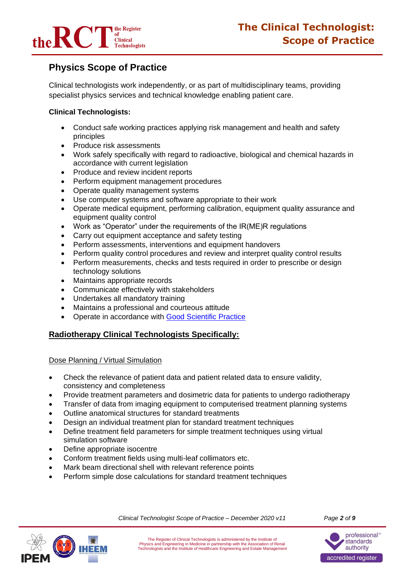

# **Physics Scope of Practice**

Clinical technologists work independently, or as part of multidisciplinary teams, providing specialist physics services and technical knowledge enabling patient care.

# **Clinical Technologists:**

- Conduct safe working practices applying risk management and health and safety principles
- Produce risk assessments
- Work safely specifically with regard to radioactive, biological and chemical hazards in accordance with current legislation
- Produce and review incident reports
- Perform equipment management procedures
- Operate quality management systems
- Use computer systems and software appropriate to their work
- Operate medical equipment, performing calibration, equipment quality assurance and equipment quality control
- Work as "Operator" under the requirements of the IR(ME)R regulations
- Carry out equipment acceptance and safety testing
- Perform assessments, interventions and equipment handovers
- Perform quality control procedures and review and interpret quality control results
- Perform measurements, checks and tests required in order to prescribe or design technology solutions
- Maintains appropriate records
- Communicate effectively with stakeholders
- Undertakes all mandatory training
- Maintains a professional and courteous attitude
- Operate in accordance with [Good Scientific Practice](http://www.ipem.ac.uk/Portals/0/Documents/News/AHCS_Good_Scientific_Practice.pdf)

### <span id="page-1-0"></span>**Radiotherapy Clinical Technologists Specifically:**

### Dose Planning / Virtual Simulation

- Check the relevance of patient data and patient related data to ensure validity, consistency and completeness
- Provide treatment parameters and dosimetric data for patients to undergo radiotherapy
- Transfer of data from imaging equipment to computerised treatment planning systems
- Outline anatomical structures for standard treatments
- Design an individual treatment plan for standard treatment techniques
- Define treatment field parameters for simple treatment techniques using virtual simulation software
- Define appropriate isocentre
- Conform treatment fields using multi-leaf collimators etc.
- Mark beam directional shell with relevant reference points
- Perform simple dose calculations for standard treatment techniques



*Clinical Technologist Scope of Practice – December 2020 v11 Page 2 of 9*

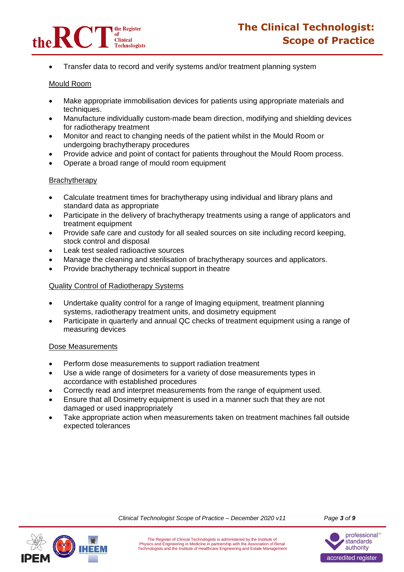

• Transfer data to record and verify systems and/or treatment planning system

#### Mould Room

- Make appropriate immobilisation devices for patients using appropriate materials and techniques.
- Manufacture individually custom-made beam direction, modifying and shielding devices for radiotherapy treatment
- Monitor and react to changing needs of the patient whilst in the Mould Room or undergoing brachytherapy procedures
- Provide advice and point of contact for patients throughout the Mould Room process.
- Operate a broad range of mould room equipment

#### **Brachytherapy**

- Calculate treatment times for brachytherapy using individual and library plans and standard data as appropriate
- Participate in the delivery of brachytherapy treatments using a range of applicators and treatment equipment
- Provide safe care and custody for all sealed sources on site including record keeping, stock control and disposal
- Leak test sealed radioactive sources
- Manage the cleaning and sterilisation of brachytherapy sources and applicators.
- Provide brachytherapy technical support in theatre

### Quality Control of Radiotherapy Systems

- Undertake quality control for a range of Imaging equipment, treatment planning systems, radiotherapy treatment units, and dosimetry equipment
- Participate in quarterly and annual QC checks of treatment equipment using a range of measuring devices

#### Dose Measurements

- Perform dose measurements to support radiation treatment
- Use a wide range of dosimeters for a variety of dose measurements types in accordance with established procedures
- Correctly read and interpret measurements from the range of equipment used.
- Ensure that all Dosimetry equipment is used in a manner such that they are not damaged or used inappropriately
- Take appropriate action when measurements taken on treatment machines fall outside expected tolerances





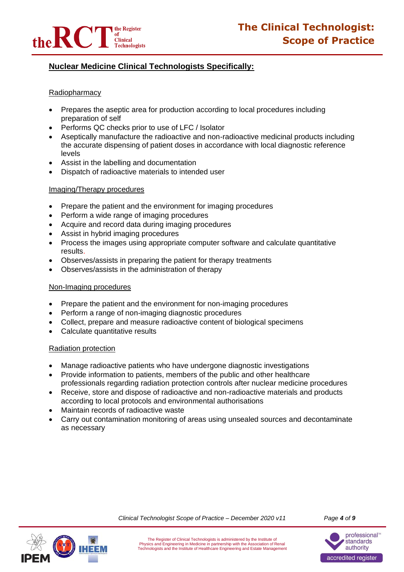

# <span id="page-3-0"></span>**Nuclear Medicine Clinical Technologists Specifically:**

### Radiopharmacy

- Prepares the aseptic area for production according to local procedures including preparation of self
- Performs QC checks prior to use of LFC / Isolator
- Aseptically manufacture the radioactive and non-radioactive medicinal products including the accurate dispensing of patient doses in accordance with local diagnostic reference levels
- Assist in the labelling and documentation
- Dispatch of radioactive materials to intended user

#### Imaging/Therapy procedures

- Prepare the patient and the environment for imaging procedures
- Perform a wide range of imaging procedures
- Acquire and record data during imaging procedures
- Assist in hybrid imaging procedures
- Process the images using appropriate computer software and calculate quantitative results.
- Observes/assists in preparing the patient for therapy treatments
- Observes/assists in the administration of therapy

#### Non-Imaging procedures

- Prepare the patient and the environment for non-imaging procedures
- Perform a range of non-imaging diagnostic procedures
- Collect, prepare and measure radioactive content of biological specimens
- Calculate quantitative results

#### Radiation protection

- Manage radioactive patients who have undergone diagnostic investigations
- Provide information to patients, members of the public and other healthcare professionals regarding radiation protection controls after nuclear medicine procedures
- Receive, store and dispose of radioactive and non-radioactive materials and products according to local protocols and environmental authorisations
- Maintain records of radioactive waste
- Carry out contamination monitoring of areas using unsealed sources and decontaminate as necessary



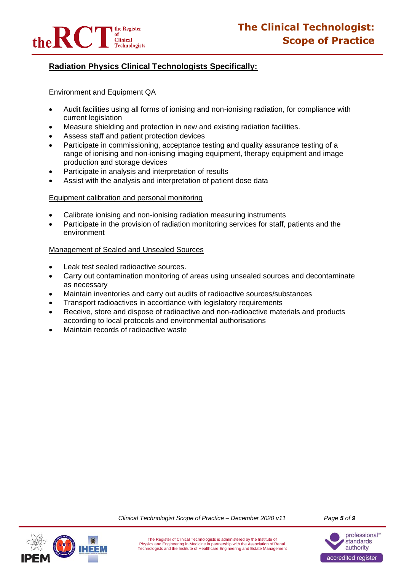

# <span id="page-4-0"></span>**Radiation Physics Clinical Technologists Specifically:**

#### Environment and Equipment QA

- Audit facilities using all forms of ionising and non-ionising radiation, for compliance with current legislation
- Measure shielding and protection in new and existing radiation facilities.
- Assess staff and patient protection devices
- Participate in commissioning, acceptance testing and quality assurance testing of a range of ionising and non-ionising imaging equipment, therapy equipment and image production and storage devices
- Participate in analysis and interpretation of results
- Assist with the analysis and interpretation of patient dose data

#### Equipment calibration and personal monitoring

- Calibrate ionising and non-ionising radiation measuring instruments
- Participate in the provision of radiation monitoring services for staff, patients and the environment

#### Management of Sealed and Unsealed Sources

- Leak test sealed radioactive sources.
- Carry out contamination monitoring of areas using unsealed sources and decontaminate as necessary
- Maintain inventories and carry out audits of radioactive sources/substances
- Transport radioactives in accordance with legislatory requirements
- Receive, store and dispose of radioactive and non-radioactive materials and products according to local protocols and environmental authorisations
- Maintain records of radioactive waste





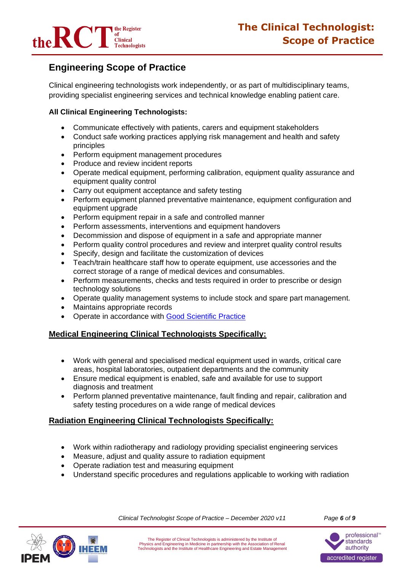

# **Engineering Scope of Practice**

Clinical engineering technologists work independently, or as part of multidisciplinary teams, providing specialist engineering services and technical knowledge enabling patient care.

# **All Clinical Engineering Technologists:**

- Communicate effectively with patients, carers and equipment stakeholders
- Conduct safe working practices applying risk management and health and safety principles
- Perform equipment management procedures
- Produce and review incident reports
- Operate medical equipment, performing calibration, equipment quality assurance and equipment quality control
- Carry out equipment acceptance and safety testing
- Perform equipment planned preventative maintenance, equipment configuration and equipment upgrade
- Perform equipment repair in a safe and controlled manner
- Perform assessments, interventions and equipment handovers
- Decommission and dispose of equipment in a safe and appropriate manner
- Perform quality control procedures and review and interpret quality control results
- Specify, design and facilitate the customization of devices
- Teach/train healthcare staff how to operate equipment, use accessories and the correct storage of a range of medical devices and consumables.
- Perform measurements, checks and tests required in order to prescribe or design technology solutions
- Operate quality management systems to include stock and spare part management.
- Maintains appropriate records
- Operate in accordance with [Good Scientific Practice](http://www.ipem.ac.uk/Portals/0/Documents/News/AHCS_Good_Scientific_Practice.pdf)

### <span id="page-5-0"></span>**Medical Engineering Clinical Technologists Specifically:**

- Work with general and specialised medical equipment used in wards, critical care areas, hospital laboratories, outpatient departments and the community
- Ensure medical equipment is enabled, safe and available for use to support diagnosis and treatment
- Perform planned preventative maintenance, fault finding and repair, calibration and safety testing procedures on a wide range of medical devices

# <span id="page-5-1"></span>**Radiation Engineering Clinical Technologists Specifically:**

- Work within radiotherapy and radiology providing specialist engineering services
- Measure, adjust and quality assure to radiation equipment
- Operate radiation test and measuring equipment
- Understand specific procedures and regulations applicable to working with radiation



*Clinical Technologist Scope of Practice – December 2020 v11 Page 6 of 9*

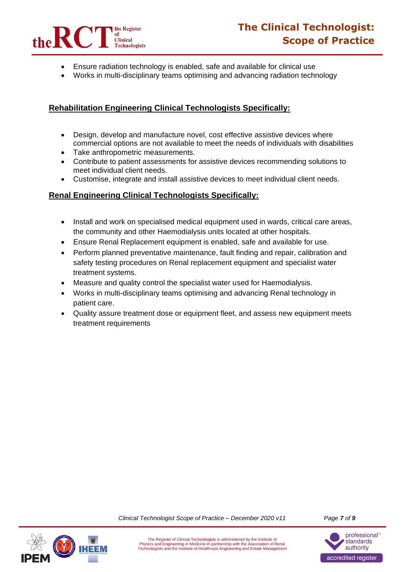

- Ensure radiation technology is enabled, safe and available for clinical use
- Works in multi-disciplinary teams optimising and advancing radiation technology

# **Rehabilitation Engineering Clinical Technologists Specifically:**

- Design, develop and manufacture novel, cost effective assistive devices where commercial options are not available to meet the needs of individuals with disabilities
- Take anthropometric measurements.
- Contribute to patient assessments for assistive devices recommending solutions to meet individual client needs.
- Customise, integrate and install assistive devices to meet individual client needs.

### <span id="page-6-0"></span>**Renal Engineering Clinical Technologists Specifically:**

- Install and work on specialised medical equipment used in wards, critical care areas, the community and other Haemodialysis units located at other hospitals.
- Ensure Renal Replacement equipment is enabled, safe and available for use.
- Perform planned preventative maintenance, fault finding and repair, calibration and safety testing procedures on Renal replacement equipment and specialist water treatment systems.
- Measure and quality control the specialist water used for Haemodialysis.
- Works in multi-disciplinary teams optimising and advancing Renal technology in patient care.
- Quality assure treatment dose or equipment fleet, and assess new equipment meets treatment requirements



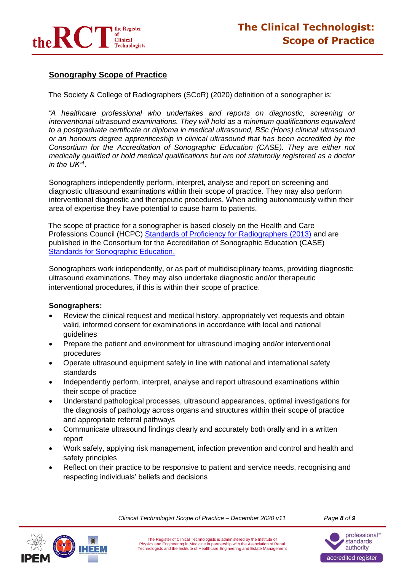

# <span id="page-7-0"></span>**Sonography Scope of Practice**

The Society & College of Radiographers (SCoR) (2020) definition of a sonographer is:

*"A healthcare professional who undertakes and reports on diagnostic, screening or interventional ultrasound examinations. They will hold as a minimum qualifications equivalent to a postgraduate certificate or diploma in medical ultrasound, BSc (Hons) clinical ultrasound or an honours degree apprenticeship in clinical ultrasound that has been accredited by the Consortium for the Accreditation of Sonographic Education (CASE). They are either not medically qualified or hold medical qualifications but are not statutorily registered as a doctor in the UK"<sup>1</sup> .*

Sonographers independently perform, interpret, analyse and report on screening and diagnostic ultrasound examinations within their scope of practice. They may also perform interventional diagnostic and therapeutic procedures. When acting autonomously within their area of expertise they have potential to cause harm to patients.

The scope of practice for a sonographer is based closely on the Health and Care Professions Council (HCPC) [Standards of Proficiency for Radiographers \(2013\)](https://www.hcpc-uk.org/standards/standards-of-proficiency/radiographers/) and are published in the Consortium for the Accreditation of Sonographic Education (CASE) [Standards for Sonographic Education.](http://www.case-uk.org/standards/)

Sonographers work independently, or as part of multidisciplinary teams, providing diagnostic ultrasound examinations. They may also undertake diagnostic and/or therapeutic interventional procedures, if this is within their scope of practice.

#### **Sonographers:**

- Review the clinical request and medical history, appropriately vet requests and obtain valid, informed consent for examinations in accordance with local and national guidelines
- Prepare the patient and environment for ultrasound imaging and/or interventional procedures
- Operate ultrasound equipment safely in line with national and international safety standards
- Independently perform, interpret, analyse and report ultrasound examinations within their scope of practice
- Understand pathological processes, ultrasound appearances, optimal investigations for the diagnosis of pathology across organs and structures within their scope of practice and appropriate referral pathways
- Communicate ultrasound findings clearly and accurately both orally and in a written report
- Work safely, applying risk management, infection prevention and control and health and safety principles
- Reflect on their practice to be responsive to patient and service needs, recognising and respecting individuals' beliefs and decisions



*Clinical Technologist Scope of Practice – December 2020 v11 Page 8 of 9*